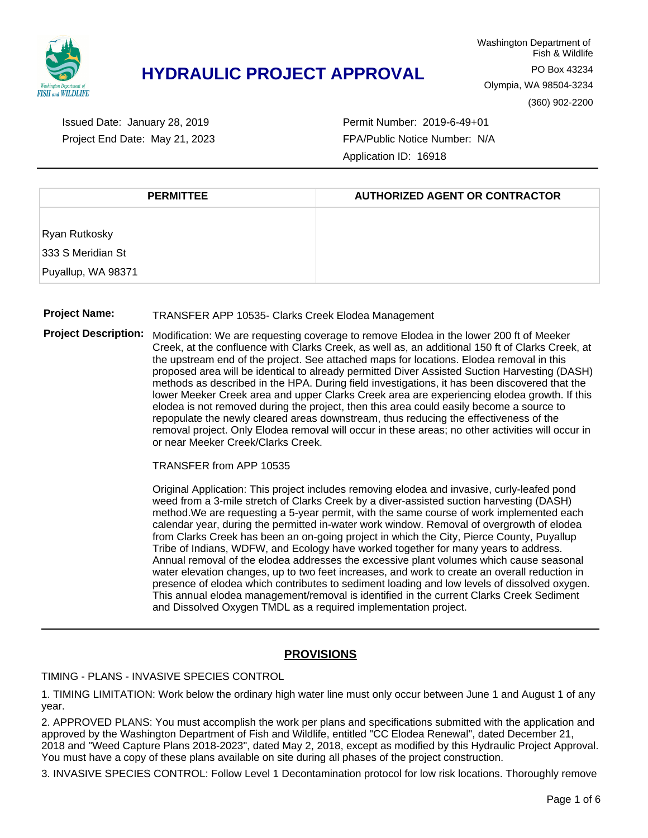

Project End Date: May 21, 2023 Issued Date: January 28, 2019

Permit Number: 2019-6-49+01 FPA/Public Notice Number: N/A Application ID: 16918

| <b>PERMITTEE</b>   | <b>AUTHORIZED AGENT OR CONTRACTOR</b> |  |  |
|--------------------|---------------------------------------|--|--|
|                    |                                       |  |  |
| Ryan Rutkosky      |                                       |  |  |
| 333 S Meridian St  |                                       |  |  |
| Puyallup, WA 98371 |                                       |  |  |

#### **Project Name:** TRANSFER APP 10535- Clarks Creek Elodea Management

**Project Description:** Modification: We are requesting coverage to remove Elodea in the lower 200 ft of Meeker Creek, at the confluence with Clarks Creek, as well as, an additional 150 ft of Clarks Creek, at the upstream end of the project. See attached maps for locations. Elodea removal in this proposed area will be identical to already permitted Diver Assisted Suction Harvesting (DASH) methods as described in the HPA. During field investigations, it has been discovered that the lower Meeker Creek area and upper Clarks Creek area are experiencing elodea growth. If this elodea is not removed during the project, then this area could easily become a source to repopulate the newly cleared areas downstream, thus reducing the effectiveness of the removal project. Only Elodea removal will occur in these areas; no other activities will occur in or near Meeker Creek/Clarks Creek.

TRANSFER from APP 10535

Original Application: This project includes removing elodea and invasive, curly-leafed pond weed from a 3-mile stretch of Clarks Creek by a diver-assisted suction harvesting (DASH) method.We are requesting a 5-year permit, with the same course of work implemented each calendar year, during the permitted in-water work window. Removal of overgrowth of elodea from Clarks Creek has been an on-going project in which the City, Pierce County, Puyallup Tribe of Indians, WDFW, and Ecology have worked together for many years to address. Annual removal of the elodea addresses the excessive plant volumes which cause seasonal water elevation changes, up to two feet increases, and work to create an overall reduction in presence of elodea which contributes to sediment loading and low levels of dissolved oxygen. This annual elodea management/removal is identified in the current Clarks Creek Sediment and Dissolved Oxygen TMDL as a required implementation project.

#### **PROVISIONS**

TIMING - PLANS - INVASIVE SPECIES CONTROL

1. TIMING LIMITATION: Work below the ordinary high water line must only occur between June 1 and August 1 of any year.

2. APPROVED PLANS: You must accomplish the work per plans and specifications submitted with the application and approved by the Washington Department of Fish and Wildlife, entitled "CC Elodea Renewal", dated December 21, 2018 and "Weed Capture Plans 2018-2023", dated May 2, 2018, except as modified by this Hydraulic Project Approval. You must have a copy of these plans available on site during all phases of the project construction.

3. INVASIVE SPECIES CONTROL: Follow Level 1 Decontamination protocol for low risk locations. Thoroughly remove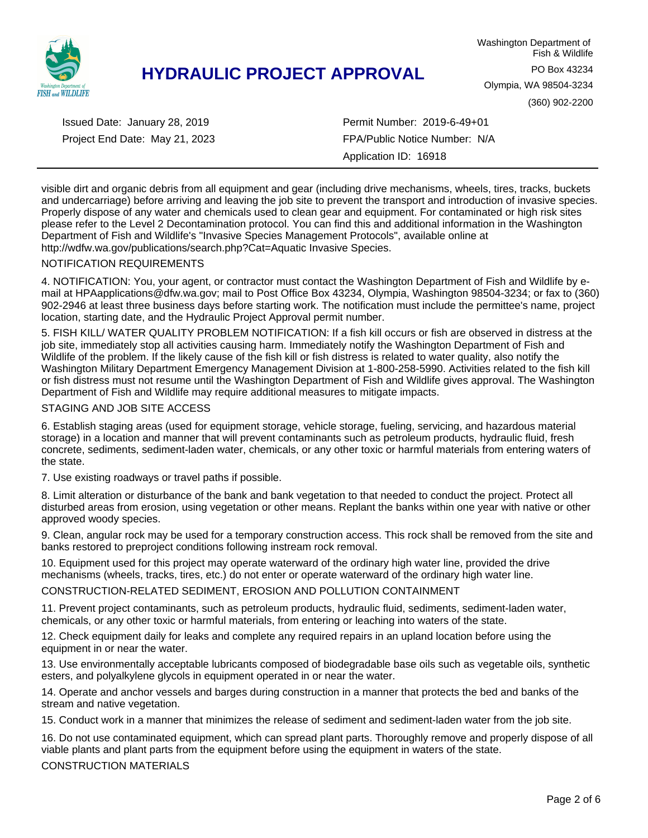

Project End Date: May 21, 2023 Issued Date: January 28, 2019

Permit Number: 2019-6-49+01 FPA/Public Notice Number: N/A Application ID: 16918

visible dirt and organic debris from all equipment and gear (including drive mechanisms, wheels, tires, tracks, buckets and undercarriage) before arriving and leaving the job site to prevent the transport and introduction of invasive species. Properly dispose of any water and chemicals used to clean gear and equipment. For contaminated or high risk sites please refer to the Level 2 Decontamination protocol. You can find this and additional information in the Washington Department of Fish and Wildlife's "Invasive Species Management Protocols", available online at http://wdfw.wa.gov/publications/search.php?Cat=Aquatic Invasive Species.

#### NOTIFICATION REQUIREMENTS

4. NOTIFICATION: You, your agent, or contractor must contact the Washington Department of Fish and Wildlife by email at HPAapplications@dfw.wa.gov; mail to Post Office Box 43234, Olympia, Washington 98504-3234; or fax to (360) 902-2946 at least three business days before starting work. The notification must include the permittee's name, project location, starting date, and the Hydraulic Project Approval permit number.

5. FISH KILL/ WATER QUALITY PROBLEM NOTIFICATION: If a fish kill occurs or fish are observed in distress at the job site, immediately stop all activities causing harm. Immediately notify the Washington Department of Fish and Wildlife of the problem. If the likely cause of the fish kill or fish distress is related to water quality, also notify the Washington Military Department Emergency Management Division at 1-800-258-5990. Activities related to the fish kill or fish distress must not resume until the Washington Department of Fish and Wildlife gives approval. The Washington Department of Fish and Wildlife may require additional measures to mitigate impacts.

#### STAGING AND JOB SITE ACCESS

6. Establish staging areas (used for equipment storage, vehicle storage, fueling, servicing, and hazardous material storage) in a location and manner that will prevent contaminants such as petroleum products, hydraulic fluid, fresh concrete, sediments, sediment-laden water, chemicals, or any other toxic or harmful materials from entering waters of the state.

7. Use existing roadways or travel paths if possible.

8. Limit alteration or disturbance of the bank and bank vegetation to that needed to conduct the project. Protect all disturbed areas from erosion, using vegetation or other means. Replant the banks within one year with native or other approved woody species.

9. Clean, angular rock may be used for a temporary construction access. This rock shall be removed from the site and banks restored to preproject conditions following instream rock removal.

10. Equipment used for this project may operate waterward of the ordinary high water line, provided the drive mechanisms (wheels, tracks, tires, etc.) do not enter or operate waterward of the ordinary high water line.

CONSTRUCTION-RELATED SEDIMENT, EROSION AND POLLUTION CONTAINMENT

11. Prevent project contaminants, such as petroleum products, hydraulic fluid, sediments, sediment-laden water, chemicals, or any other toxic or harmful materials, from entering or leaching into waters of the state.

12. Check equipment daily for leaks and complete any required repairs in an upland location before using the equipment in or near the water.

13. Use environmentally acceptable lubricants composed of biodegradable base oils such as vegetable oils, synthetic esters, and polyalkylene glycols in equipment operated in or near the water.

14. Operate and anchor vessels and barges during construction in a manner that protects the bed and banks of the stream and native vegetation.

15. Conduct work in a manner that minimizes the release of sediment and sediment-laden water from the job site.

16. Do not use contaminated equipment, which can spread plant parts. Thoroughly remove and properly dispose of all viable plants and plant parts from the equipment before using the equipment in waters of the state.

CONSTRUCTION MATERIALS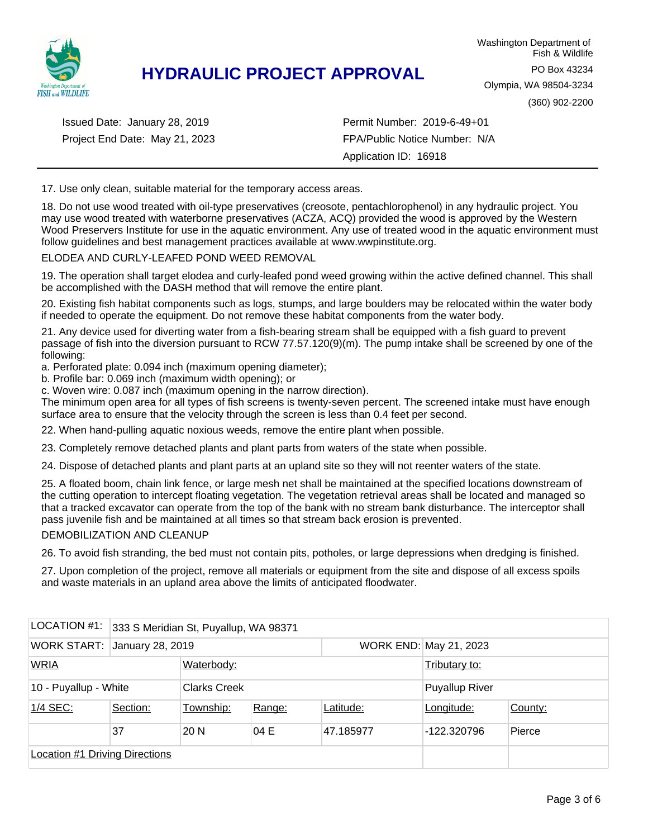

Project End Date: May 21, 2023 Issued Date: January 28, 2019

Permit Number: 2019-6-49+01 FPA/Public Notice Number: N/A Application ID: 16918

17. Use only clean, suitable material for the temporary access areas.

18. Do not use wood treated with oil-type preservatives (creosote, pentachlorophenol) in any hydraulic project. You may use wood treated with waterborne preservatives (ACZA, ACQ) provided the wood is approved by the Western Wood Preservers Institute for use in the aquatic environment. Any use of treated wood in the aquatic environment must follow guidelines and best management practices available at www.wwpinstitute.org.

#### ELODEA AND CURLY-LEAFED POND WEED REMOVAL

19. The operation shall target elodea and curly-leafed pond weed growing within the active defined channel. This shall be accomplished with the DASH method that will remove the entire plant.

20. Existing fish habitat components such as logs, stumps, and large boulders may be relocated within the water body if needed to operate the equipment. Do not remove these habitat components from the water body.

21. Any device used for diverting water from a fish-bearing stream shall be equipped with a fish guard to prevent passage of fish into the diversion pursuant to RCW 77.57.120(9)(m). The pump intake shall be screened by one of the following:

a. Perforated plate: 0.094 inch (maximum opening diameter);

b. Profile bar: 0.069 inch (maximum width opening); or

c. Woven wire: 0.087 inch (maximum opening in the narrow direction).

The minimum open area for all types of fish screens is twenty-seven percent. The screened intake must have enough surface area to ensure that the velocity through the screen is less than 0.4 feet per second.

22. When hand-pulling aquatic noxious weeds, remove the entire plant when possible.

23. Completely remove detached plants and plant parts from waters of the state when possible.

24. Dispose of detached plants and plant parts at an upland site so they will not reenter waters of the state.

25. A floated boom, chain link fence, or large mesh net shall be maintained at the specified locations downstream of the cutting operation to intercept floating vegetation. The vegetation retrieval areas shall be located and managed so that a tracked excavator can operate from the top of the bank with no stream bank disturbance. The interceptor shall pass juvenile fish and be maintained at all times so that stream back erosion is prevented.

#### DEMOBILIZATION AND CLEANUP

26. To avoid fish stranding, the bed must not contain pits, potholes, or large depressions when dredging is finished.

27. Upon completion of the project, remove all materials or equipment from the site and dispose of all excess spoils and waste materials in an upland area above the limits of anticipated floodwater.

| LOCATION #1:                          | 333 S Meridian St, Puyallup, WA 98371 |                 |                     |           |                        |         |
|---------------------------------------|---------------------------------------|-----------------|---------------------|-----------|------------------------|---------|
| WORK START: January 28, 2019          |                                       |                 |                     |           | WORK END: May 21, 2023 |         |
| <b>WRIA</b>                           |                                       | Waterbody:      |                     |           | Tributary to:          |         |
|                                       | 10 - Puyallup - White                 |                 | <b>Clarks Creek</b> |           | <b>Puyallup River</b>  |         |
| 1/4 SEC:                              | Section:                              | Township:       | Range:              | Latitude: | Longitude:             | County: |
|                                       | 37                                    | 20 <sub>N</sub> | 04 E                | 47.185977 | -122.320796            | Pierce  |
| <b>Location #1 Driving Directions</b> |                                       |                 |                     |           |                        |         |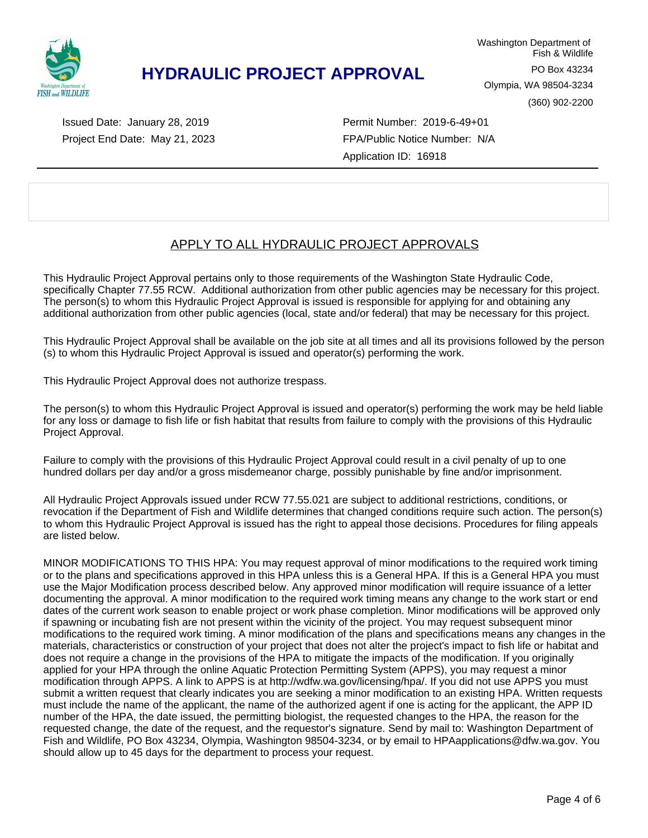

Project End Date: May 21, 2023 Issued Date: January 28, 2019

Permit Number: 2019-6-49+01 FPA/Public Notice Number: N/A Application ID: 16918

### APPLY TO ALL HYDRAULIC PROJECT APPROVALS

This Hydraulic Project Approval pertains only to those requirements of the Washington State Hydraulic Code, specifically Chapter 77.55 RCW. Additional authorization from other public agencies may be necessary for this project. The person(s) to whom this Hydraulic Project Approval is issued is responsible for applying for and obtaining any additional authorization from other public agencies (local, state and/or federal) that may be necessary for this project.

This Hydraulic Project Approval shall be available on the job site at all times and all its provisions followed by the person (s) to whom this Hydraulic Project Approval is issued and operator(s) performing the work.

This Hydraulic Project Approval does not authorize trespass.

The person(s) to whom this Hydraulic Project Approval is issued and operator(s) performing the work may be held liable for any loss or damage to fish life or fish habitat that results from failure to comply with the provisions of this Hydraulic Project Approval.

Failure to comply with the provisions of this Hydraulic Project Approval could result in a civil penalty of up to one hundred dollars per day and/or a gross misdemeanor charge, possibly punishable by fine and/or imprisonment.

All Hydraulic Project Approvals issued under RCW 77.55.021 are subject to additional restrictions, conditions, or revocation if the Department of Fish and Wildlife determines that changed conditions require such action. The person(s) to whom this Hydraulic Project Approval is issued has the right to appeal those decisions. Procedures for filing appeals are listed below.

MINOR MODIFICATIONS TO THIS HPA: You may request approval of minor modifications to the required work timing or to the plans and specifications approved in this HPA unless this is a General HPA. If this is a General HPA you must use the Major Modification process described below. Any approved minor modification will require issuance of a letter documenting the approval. A minor modification to the required work timing means any change to the work start or end dates of the current work season to enable project or work phase completion. Minor modifications will be approved only if spawning or incubating fish are not present within the vicinity of the project. You may request subsequent minor modifications to the required work timing. A minor modification of the plans and specifications means any changes in the materials, characteristics or construction of your project that does not alter the project's impact to fish life or habitat and does not require a change in the provisions of the HPA to mitigate the impacts of the modification. If you originally applied for your HPA through the online Aquatic Protection Permitting System (APPS), you may request a minor modification through APPS. A link to APPS is at http://wdfw.wa.gov/licensing/hpa/. If you did not use APPS you must submit a written request that clearly indicates you are seeking a minor modification to an existing HPA. Written requests must include the name of the applicant, the name of the authorized agent if one is acting for the applicant, the APP ID number of the HPA, the date issued, the permitting biologist, the requested changes to the HPA, the reason for the requested change, the date of the request, and the requestor's signature. Send by mail to: Washington Department of Fish and Wildlife, PO Box 43234, Olympia, Washington 98504-3234, or by email to HPAapplications@dfw.wa.gov. You should allow up to 45 days for the department to process your request.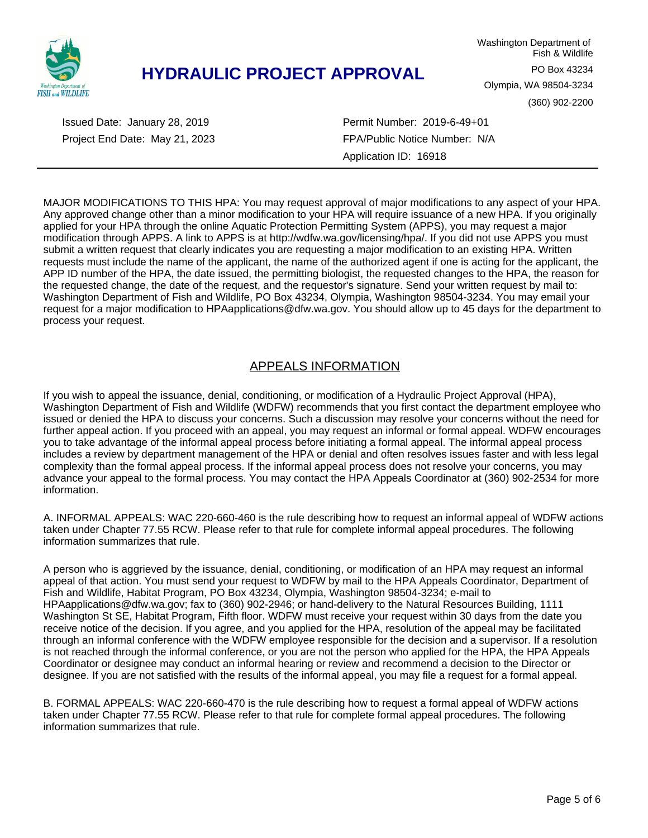

Project End Date: May 21, 2023 Issued Date: January 28, 2019

Permit Number: 2019-6-49+01 FPA/Public Notice Number: N/A Application ID: 16918

MAJOR MODIFICATIONS TO THIS HPA: You may request approval of major modifications to any aspect of your HPA. Any approved change other than a minor modification to your HPA will require issuance of a new HPA. If you originally applied for your HPA through the online Aquatic Protection Permitting System (APPS), you may request a major modification through APPS. A link to APPS is at http://wdfw.wa.gov/licensing/hpa/. If you did not use APPS you must submit a written request that clearly indicates you are requesting a major modification to an existing HPA. Written requests must include the name of the applicant, the name of the authorized agent if one is acting for the applicant, the APP ID number of the HPA, the date issued, the permitting biologist, the requested changes to the HPA, the reason for the requested change, the date of the request, and the requestor's signature. Send your written request by mail to: Washington Department of Fish and Wildlife, PO Box 43234, Olympia, Washington 98504-3234. You may email your request for a major modification to HPAapplications@dfw.wa.gov. You should allow up to 45 days for the department to process your request.

### APPEALS INFORMATION

If you wish to appeal the issuance, denial, conditioning, or modification of a Hydraulic Project Approval (HPA), Washington Department of Fish and Wildlife (WDFW) recommends that you first contact the department employee who issued or denied the HPA to discuss your concerns. Such a discussion may resolve your concerns without the need for further appeal action. If you proceed with an appeal, you may request an informal or formal appeal. WDFW encourages you to take advantage of the informal appeal process before initiating a formal appeal. The informal appeal process includes a review by department management of the HPA or denial and often resolves issues faster and with less legal complexity than the formal appeal process. If the informal appeal process does not resolve your concerns, you may advance your appeal to the formal process. You may contact the HPA Appeals Coordinator at (360) 902-2534 for more information.

A. INFORMAL APPEALS: WAC 220-660-460 is the rule describing how to request an informal appeal of WDFW actions taken under Chapter 77.55 RCW. Please refer to that rule for complete informal appeal procedures. The following information summarizes that rule.

A person who is aggrieved by the issuance, denial, conditioning, or modification of an HPA may request an informal appeal of that action. You must send your request to WDFW by mail to the HPA Appeals Coordinator, Department of Fish and Wildlife, Habitat Program, PO Box 43234, Olympia, Washington 98504-3234; e-mail to HPAapplications@dfw.wa.gov; fax to (360) 902-2946; or hand-delivery to the Natural Resources Building, 1111 Washington St SE, Habitat Program, Fifth floor. WDFW must receive your request within 30 days from the date you receive notice of the decision. If you agree, and you applied for the HPA, resolution of the appeal may be facilitated through an informal conference with the WDFW employee responsible for the decision and a supervisor. If a resolution is not reached through the informal conference, or you are not the person who applied for the HPA, the HPA Appeals Coordinator or designee may conduct an informal hearing or review and recommend a decision to the Director or designee. If you are not satisfied with the results of the informal appeal, you may file a request for a formal appeal.

B. FORMAL APPEALS: WAC 220-660-470 is the rule describing how to request a formal appeal of WDFW actions taken under Chapter 77.55 RCW. Please refer to that rule for complete formal appeal procedures. The following information summarizes that rule.